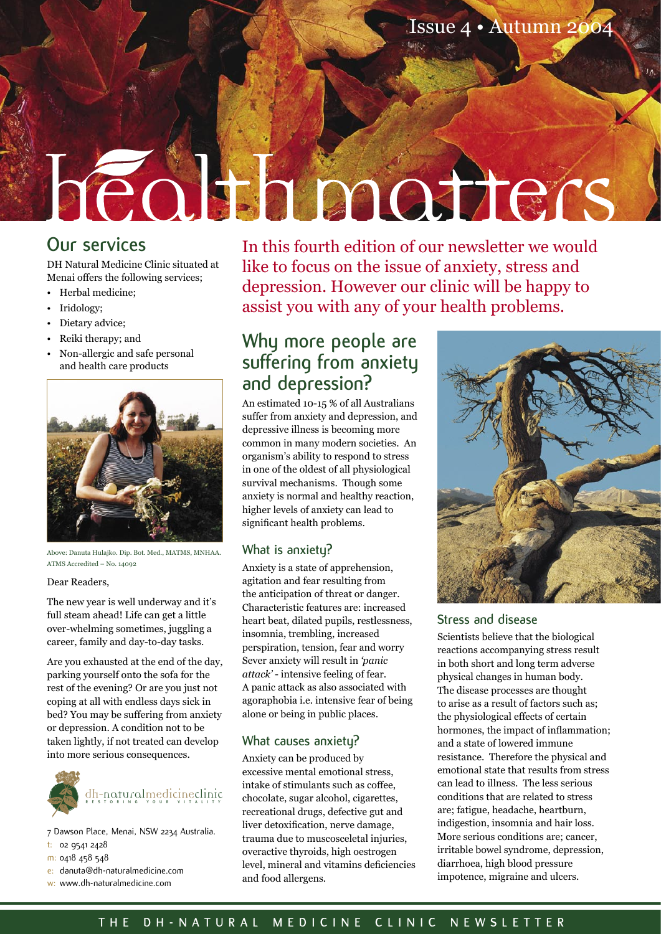# heolthimatiers

# **Our services**

DH Natural Medicine Clinic situated at Menai offers the following services;

- Herbal medicine;
- Iridology;
- Dietary advice;
- Reiki therapy; and
- Non-allergic and safe personal and health care products



Above: Danuta Hulajko. Dip. Bot. Med., MATMS, MNHAA. ATMS Accredited – No. 14092

## Dear Readers,

The new year is well underway and it's full steam ahead! Life can get a little over-whelming sometimes, juggling a career, family and day-to-day tasks.

Are you exhausted at the end of the day, parking yourself onto the sofa for the rest of the evening? Or are you just not coping at all with endless days sick in bed? You may be suffering from anxiety or depression. A condition not to be taken lightly, if not treated can develop into more serious consequences.



- 7 Dawson Place, Menai, NSW 2234 Australia.
- t: 02 9541 2428
- m: 0418 458 548
- e: danuta@dh-naturalmedicine.com
- w: www.dh-naturalmedicine.com

In this fourth edition of our newsletter we would like to focus on the issue of anxiety, stress and depression. However our clinic will be happy to assist you with any of your health problems.

# **Why more people are suffering from anxiety and depression?**

An estimated 10-15 % of all Australians suffer from anxiety and depression, and depressive illness is becoming more common in many modern societies. An organism's ability to respond to stress in one of the oldest of all physiological survival mechanisms. Though some anxiety is normal and healthy reaction, higher levels of anxiety can lead to significant health problems.

# **What is anxiety?**

Anxiety is a state of apprehension, agitation and fear resulting from the anticipation of threat or danger. Characteristic features are: increased heart beat, dilated pupils, restlessness, insomnia, trembling, increased perspiration, tension, fear and worry Sever anxiety will result in *'panic attack'* - intensive feeling of fear. A panic attack as also associated with agoraphobia i.e. intensive fear of being alone or being in public places.

# **What causes anxiety?**

Anxiety can be produced by excessive mental emotional stress, intake of stimulants such as coffee, chocolate, sugar alcohol, cigarettes, recreational drugs, defective gut and liver detoxification, nerve damage, trauma due to muscosceletal injuries, overactive thyroids, high oestrogen level, mineral and vitamins deficiencies and food allergens.



# **Stress and disease**

Scientists believe that the biological reactions accompanying stress result in both short and long term adverse physical changes in human body. The disease processes are thought to arise as a result of factors such as; the physiological effects of certain hormones, the impact of inflammation; and a state of lowered immune resistance. Therefore the physical and emotional state that results from stress can lead to illness. The less serious conditions that are related to stress are; fatigue, headache, heartburn, indigestion, insomnia and hair loss. More serious conditions are; cancer, irritable bowel syndrome, depression, diarrhoea, high blood pressure impotence, migraine and ulcers.

# **T H E D H - N A T U R A L M E D I C I N E C L I N I C N E W S L E T T E R**